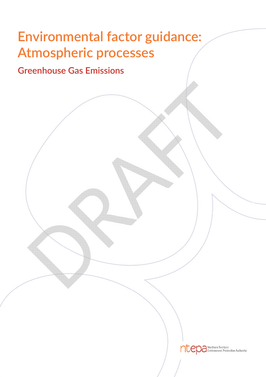# **Environmental factor guidance: Atmospheric processes**

# **Greenhouse Gas Emissions**

ntep a Northern Territory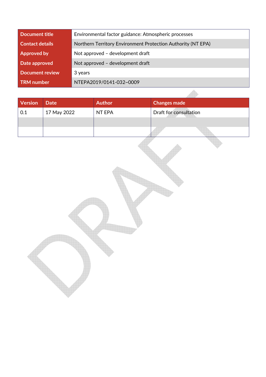| Document title         | Environmental factor guidance: Atmospheric processes         |  |
|------------------------|--------------------------------------------------------------|--|
| <b>Contact details</b> | Northern Territory Environment Protection Authority (NT EPA) |  |
| <b>Approved by</b>     | Not approved - development draft                             |  |
| Date approved          | Not approved - development draft                             |  |
| <b>Document review</b> | 3 years                                                      |  |
| TRM number             | NTEPA2019/0141-032~0009                                      |  |

| <b>Version</b> | <b>Date</b> | <b>Author</b> | <b>Changes made</b>    |  |
|----------------|-------------|---------------|------------------------|--|
| 0.1            | 17 May 2022 | NT EPA        | Draft for consultation |  |
|                |             |               |                        |  |
|                |             |               |                        |  |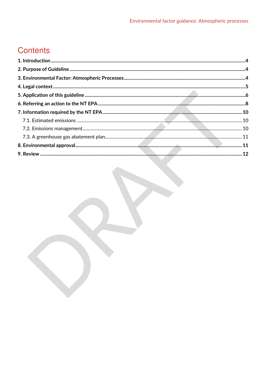# **Contents**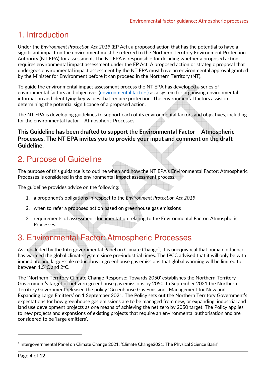# 1. Introduction

Under the *Environment Protection Act 2019* (EP Act), a proposed action that has the potential to have a significant impact on the environment must be referred to the Northern Territory Environment Protection Authority (NT EPA) for assessment. The NT EPA is responsible for deciding whether a proposed action requires environmental impact assessment under the EP Act. A proposed action or strategic proposal that undergoes environmental impact assessment by the NT EPA must have an environmental approval granted by the Minister for Environment before it can proceed in the Northern Territory (NT).

To guide the environmental impact assessment process the NT EPA has developed a series of environmental factors and objectives (environmental factors) as a system for organising environmental information and identifying key values that require protection. The environmental factors assist in determining the potential significance of a proposed action.

The NT EPA is developing guidelines to support each of its environmental factors and objectives, including for the environmental factor – Atmospheric Processes.

#### **This Guideline has been drafted to support the Environmental Factor – Atmospheric Processes. The NT EPA invites you to provide your input and comment on the draft Guideline.**

# 2. Purpose of Guideline

The purpose of this guidance is to outline when and how the NT EPA's Environmental Factor: Atmospheric Processes is considered in the environmental impact assessment process.

The guideline provides advice on the following:

- 1. a proponent's obligations in respect to the *Environment Protection Act 2019*
- 2. when to refer a proposed action based on greenhouse gas emissions
- 3. requirements of assessment documentation relating to the Environmental Factor: Atmospheric Processes.

# 3. Environmental Factor: Atmospheric Processes

As concluded by the Intergovernmental Panel on Climate Change<sup>1</sup>, it is unequivocal that human influence has warmed the global climate system since pre-industrial times. The IPCC advised that it will only be with immediate and large-scale reductions in greenhouse gas emissions that global warming will be limited to between 1.5°C and 2°C.

The 'Northern Territory Climate Change Response: Towards 2050' establishes the Northern Territory Government's target of net zero greenhouse gas emissions by 2050. In September 2021 the Northern Territory Government released the policy 'Greenhouse Gas Emissions Management for New and Expanding Large Emitters' on 1 September 2021. The Policy sets out the Northern Territory Government's expectations for how greenhouse gas emissions are to be managed from new, or expanding, industrial and land use development projects as one means of achieving the net zero by 2050 target. The Policy applies to new projects and expansions of existing projects that require an environmental authorisation and are considered to be 'large emitters'.

<sup>1</sup> Intergovernmental Panel on Climate Change 2021, 'Climate Change2021: The Physical Science Basis'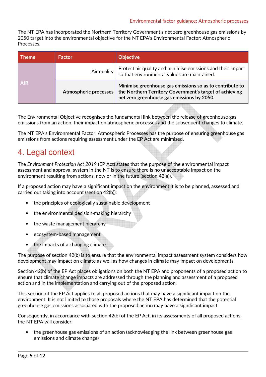The NT EPA has incorporated the Northern Territory Government's net zero greenhouse gas emissions by 2050 target into the environmental objective for the NT EPA's Environmental Factor: Atmospheric Processes.

| <b>Theme</b> | <b>Factor</b>                | <b>Objective</b>                                                                                                                                                  |
|--------------|------------------------------|-------------------------------------------------------------------------------------------------------------------------------------------------------------------|
| <b>AIR</b>   | Air quality                  | Protect air quality and minimise emissions and their impact<br>so that environmental values are maintained.                                                       |
|              | <b>Atmospheric processes</b> | Minimise greenhouse gas emissions so as to contribute to<br>the Northern Territory Government's target of achieving<br>net zero greenhouse gas emissions by 2050. |

The Environmental Objective recognises the fundamental link between the release of greenhouse gas emissions from an action, their impact on atmospheric processes and the subsequent changes to climate.

The NT EPA's Environmental Factor: Atmospheric Processes has the purpose of ensuring greenhouse gas emissions from actions requiring assessment under the EP Act are minimised.

### 4. Legal context

The *Environment Protection Act 2019* (EP Act) states that the purpose of the environmental impact assessment and approval system in the NT is to ensure there is no unacceptable impact on the environment resulting from actions, now or in the future (section 42(a)).

If a proposed action may have a significant impact on the environment it is to be planned, assessed and carried out taking into account (section 42(b)):

- the principles of ecologically sustainable development
- the environmental decision-making hierarchy
- the waste management hierarchy
- ecosystem-based management
- the impacts of a changing climate.

The purpose of section 42(b) is to ensure that the environmental impact assessment system considers how development may impact on climate as well as how changes in climate may impact on developments.

Section 42(b) of the EP Act places obligations on both the NT EPA and proponents of a proposed action to ensure that climate change impacts are addressed through the planning and assessment of a proposed action and in the implementation and carrying out of the proposed action.

This section of the EP Act applies to all proposed actions that may have a significant impact on the environment. It is not limited to those proposals where the NT EPA has determined that the potential greenhouse gas emissions associated with the proposed action may have a significant impact.

Consequently, in accordance with section 42(b) of the EP Act, in its assessments of all proposed actions, the NT EPA will consider:

• the greenhouse gas emissions of an action (acknowledging the link between greenhouse gas emissions and climate change)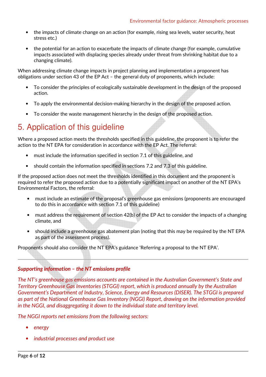- the impacts of climate change on an action (for example, rising sea levels, water security, heat stress etc.)
- the potential for an action to exacerbate the impacts of climate change (for example, cumulative impacts associated with displacing species already under threat from shrinking habitat due to a changing climate).

When addressing climate change impacts in project planning and implementation a proponent has obligations under section 43 of the EP Act – the general duty of proponents, which include:

- To consider the principles of ecologically sustainable development in the design of the proposed action.
- To apply the environmental decision-making hierarchy in the design of the proposed action.
- To consider the waste management hierarchy in the design of the proposed action.

# 5. Application of this guideline

Where a proposed action meets the thresholds specified in this guideline, the proponent is to refer the action to the NT EPA for consideration in accordance with the EP Act. The referral:

- must include the information specified in section 7.1 of this guideline, and
- should contain the information specified in sections 7.2 and 7.3 of this guideline.

If the proposed action does not meet the thresholds identified in this document and the proponent is required to refer the proposed action due to a potentially significant impact on another of the NT EPA's Environmental Factors, the referral:

- must include an estimate of the proposal's greenhouse gas emissions (proponents are encouraged to do this in accordance with section 7.1 of this guideline)
- must address the requirement of section 42(b) of the EP Act to consider the impacts of a changing climate, and
- should include a greenhouse gas abatement plan (noting that this may be required by the NT EPA as part of the assessment process).

Proponents should also consider the NT EPA's guidance 'Referring a proposal to the NT EPA'.

#### *Supporting information – the NT emissions profile*

*The NT's greenhouse gas emissions accounts are contained in the Australian Government's State and Territory Greenhouse Gas Inventories (STGGI) report, which is produced annually by the Australian Government's Department of Industry, Science, Energy and Resources (DISER). The STGGI is prepared as part of the National Greenhouse Gas Inventory (NGGI) Report, drawing on the information provided in the NGGI, and disaggregating it down to the individual state and territory level.* 

*The NGGI reports net emissions from the following sectors:* 

- *energy*
- *industrial processes and product use*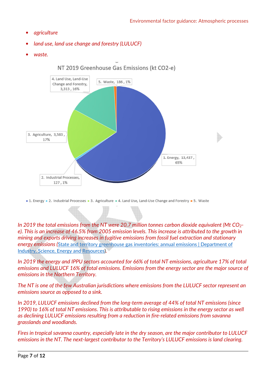- *agriculture*
- *land use, land use change and forestry (LULUCF)*
- *waste.*



NT 2019 Greenhouse Gas Emissions (kt CO2-e)

a 1. Energy a 2. Industrial Processes a 3. Agriculture a 4. Land Use, Land-Use Change and Forestry a 5. Waste

*In 2019 the total emissions from the NT were 20.7 million tonnes carbon dioxide equivalent (Mt CO2 e). This is an increase of 46.5% from 2005 emission levels. This increase is attributed to the growth in mining and exports driving increases in fugitive emissions from fossil fuel extraction and stationary energy emissions (*State and territory greenhouse gas inventories: annual emissions | Department of Industry, Science, Energy and Resources)*.* 

*In 2019 the energy and IPPU sectors accounted for 66% of total NT emissions, agriculture 17% of total emissions and LULUCF 16% of total emissions. Emissions from the energy sector are the major source of emissions in the Northern Territory.* 

*The NT is one of the few Australian jurisdictions where emissions from the LULUCF sector represent an emissions source as opposed to a sink.* 

*In 2019, LULUCF emissions declined from the long-term average of 44% of total NT emissions (since 1990) to 16% of total NT emissions. This is attributable to rising emissions in the energy sector as well as declining LULUCF emissions resulting from a reduction in fire-related emissions from savanna grasslands and woodlands.* 

*Fires in tropical savanna country, especially late in the dry season, are the major contributor to LULUCF emissions in the NT. The next-largest contributor to the Territory's LULUCF emissions is land clearing.*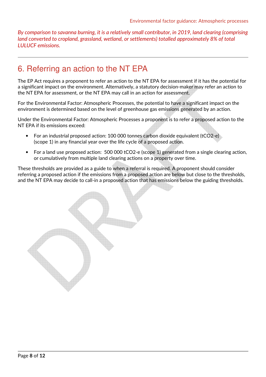*By comparison to savanna burning, it is a relatively small contributor, in 2019, land clearing (comprising land converted to cropland, grassland, wetland, or settlements) totalled approximately 8% of total LULUCF emissions.* 

### 6. Referring an action to the NT EPA

The EP Act requires a proponent to refer an action to the NT EPA for assessment if it has the potential for a significant impact on the environment. Alternatively, a statutory decision-maker may refer an action to the NT EPA for assessment, or the NT EPA may call in an action for assessment.

For the Environmental Factor: Atmospheric Processes, the potential to have a significant impact on the environment is determined based on the level of greenhouse gas emissions generated by an action.

Under the Environmental Factor: Atmospheric Processes a proponent is to refer a proposed action to the NT EPA if its emissions exceed:

- For an industrial proposed action: 100 000 tonnes carbon dioxide equivalent (tCO2-e) (scope 1) in any financial year over the life cycle of a proposed action.
- For a land use proposed action: 500 000 tCO2-e (scope 1) generated from a single clearing action, or cumulatively from multiple land clearing actions on a property over time.

These thresholds are provided as a guide to when a referral is required. A proponent should consider referring a proposed action if the emissions from a proposed action are below but close to the thresholds, and the NT EPA may decide to call-in a proposed action that has emissions below the guiding thresholds.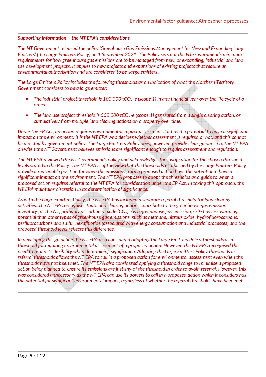#### *Supporting Information – the NT EPA's considerations*

*The NT Government released the policy 'Greenhouse Gas Emissions Management for New and Expanding Large Emitters' (the Large Emitters Policy) on 1 September 2021. The Policy sets out the NT Government's minimum requirements for how greenhouse gas emissions are to be managed from new, or expanding, industrial and land use development projects. It applies to new projects and expansions of existing projects that require an environmental authorisation and are considered to be 'large emitters'.* 

*The Large Emitters Policy includes the following thresholds as an indication of what the Northern Territory Government considers to be a large emitter:* 

- *The industrial project threshold is 100 000 tCO2-e (scope 1) in any financial year over the life cycle of a project.*
- The land use project threshold is 500 000 tCO<sub>2</sub>-e (scope 1) generated from a single clearing action, or *cumulatively from multiple land clearing actions on a property over time.*

*Under the EP Act, an action requires environmental impact assessment if it has the potential to have a significant impact on the environment. It is the NT EPA who decides whether assessment is required or not, and this cannot be directed by government policy. The Large Emitters Policy does, however, provide clear guidance to the NT EPA on when the NT Government believes emissions are significant enough to require assessment and regulation.* 

*The NT EPA reviewed the NT Government's policy and acknowledges the justification for the chosen threshold levels stated in the Policy. The NT EPA is of the view that the thresholds established by the Large Emitters Policy provide a reasonable position for when the emissions from a proposed action have the potential to have a significant impact on the environment. The NT EPA proposes to adopt the thresholds as a guide to when a proposed action requires referral to the NT EPA for consideration under the EP Act. In taking this approach, the NT EPA maintains discretion in its determination of significance.* 

*As with the Large Emitters Policy, the NT EPA has included a separate referral threshold for land clearing activities. The NT EPA recognises thatlLand clearing actions contribute to the greenhouse gas emissions inventory for the NT, primarily as carbon dioxide (CO2). As a greenhouse gas emission, CO2 has less warming potential than other types of greenhouse gas emissions, such as methane, nitrous oxide, hydrofluorocarbons, perfluorocarbons and sulfur hexafluoride (associated with energy consumption and industrial processes) and the proposed threshold level reflects this difference.* 

*In developing this guideline the NT EPA also considered adopting the Large Emitters Policy thresholds as a threshold for requiring environmental assessment of a proposed action. However, the NT EPA recognised the need to retain its flexibility when determining significance. Adopting the Large Emitters Policy thresholds as referral thresholds allows the NT EPA to call in a proposed action for environmental assessment even when the thresholds have not been met. The NT EPA also considered applying a threshold range to minimise a proposed action being planned to ensure its emissions are just shy of the threshold in order to avoid referral. However, this was considered unnecessary as the NT EPA can use its powers to call in a proposed action which it considers has the potential for significant environmental impact, regardless of whether the referral thresholds have been met.*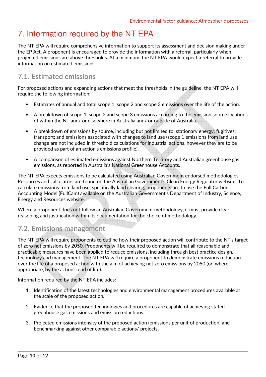# 7. Information required by the NT EPA

The NT EPA will require comprehensive information to support its assessment and decision making under the EP Act. A proponent is encouraged to provide the information with a referral, particularly when projected emissions are above thresholds. At a minimum, the NT EPA would expect a referral to provide information on estimated emissions.

### **7.1. Estimated emissions**

For proposed actions and expanding actions that meet the thresholds in the guideline, the NT EPA will require the following information:

- Estimates of annual and total scope 1, scope 2 and scope 3 emissions over the life of the action.
- A breakdown of scope 1, scope 2 and scope 3 emissions according to the emission source locations of within the NT and/ or elsewhere in Australia and/ or outside of Australia.
- A breakdown of emissions by source, including but not limited to: stationary energy; fugitives; transport; and emissions associated with changes to land use (scope 1 emissions from land use change are not included in threshold calculations for industrial actions, however they are to be provided as part of an action's emissions profile).
- A comparison of estimated emissions against Northern Territory and Australian greenhouse gas emissions, as reported in Australia's National Greenhouse Accounts.

The NT EPA expects emissions to be calculated using Australian Government endorsed methodologies. Resources and calculators are found on the Australian Government's Clean Energy Regulator website. To calculate emissions from land use, specifically land clearing, proponents are to use the Full Carbon Accounting Model (FullCam) available on the Australian Government's Department of Industry, Science, Energy and Resources website.

Where a proponent does not follow an Australian Government methodology, it must provide clear reasoning and justification within its documentation for the choice of methodology.

### **7.2. Emissions management**

The NT EPA will require proponents to outline how their proposed action will contribute to the NT's target of zero net emissions by 2050. Proponents will be required to demonstrate that all reasonable and practicable measures have been applied to reduce emissions, including through best practice design, technology and management. The NT EPA will require a proponent to demonstrate emissions reduction over the life of a proposed action with the aim of achieving net zero emissions by 2050 (or, where appropriate, by the action's end of life).

Information required by the NT EPA includes:

- 1. Identification of the latest technologies and environmental management procedures available at the scale of the proposed action.
- 2. Evidence that the proposed technologies and procedures are capable of achieving stated greenhouse gas emissions and emission reductions.
- 3. Projected emissions intensity of the proposed action (emissions per unit of production) and benchmarking against other comparable actions/ projects.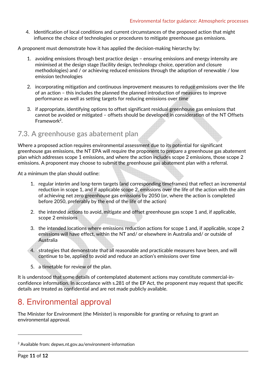4. Identification of local conditions and current circumstances of the proposed action that might influence the choice of technologies or procedures to mitigate greenhouse gas emissions.

A proponent must demonstrate how it has applied the decision-making hierarchy by:

- 1. avoiding emissions through best practice design ensuring emissions and energy intensity are minimised at the design stage (facility design, technology choice, operation and closure methodologies) and / or achieving reduced emissions through the adoption of renewable / low emission technologies
- 2. incorporating mitigation and continuous improvement measures to reduce emissions over the life of an action – this includes the planned the planned introduction of measures to improve performance as well as setting targets for reducing emissions over time
- 3. if appropriate, identifying options to offset significant residual greenhouse gas emissions that cannot be avoided or mitigated – offsets should be developed in consideration of the NT Offsets Framework<sup>2</sup>.

### **7.3. A greenhouse gas abatement plan**

Where a proposed action requires environmental assessment due to its potential for significant greenhouse gas emissions, the NT EPA will require the proponent to prepare a greenhouse gas abatement plan which addresses scope 1 emissions, and where the action includes scope 2 emissions, those scope 2 emissions. A proponent may choose to submit the greenhouse gas abatement plan with a referral.

At a minimum the plan should outline:

- 1. regular interim and long-term targets (and corresponding timeframes) that reflect an incremental reduction in scope 1, and if applicable scope 2, emissions over the life of the action with the aim of achieving net zero greenhouse gas emissions by 2050 (or, where the action is completed before 2050, preferably by the end of the life of the action)
- 2. the intended actions to avoid, mitigate and offset greenhouse gas scope 1 and, if applicable, scope 2 emissions
- 3. the intended locations where emissions reduction actions for scope 1 and, if applicable, scope 2 emissions will have effect, within the NT and/ or elsewhere in Australia and/ or outside of Australia
- 4. strategies that demonstrate that all reasonable and practicable measures have been, and will continue to be, applied to avoid and reduce an action's emissions over time
- 5. a timetable for review of the plan.

It is understood that some details of contemplated abatement actions may constitute commercial-inconfidence information. In accordance with s.281 of the EP Act, the proponent may request that specific details are treated as confidential and are not made publicly available.

### 8. Environmental approval

The Minister for Environment (the Minister) is responsible for granting or refusing to grant an environmental approval.

<sup>2</sup> Available from: depws.nt.gov.au/environment-information